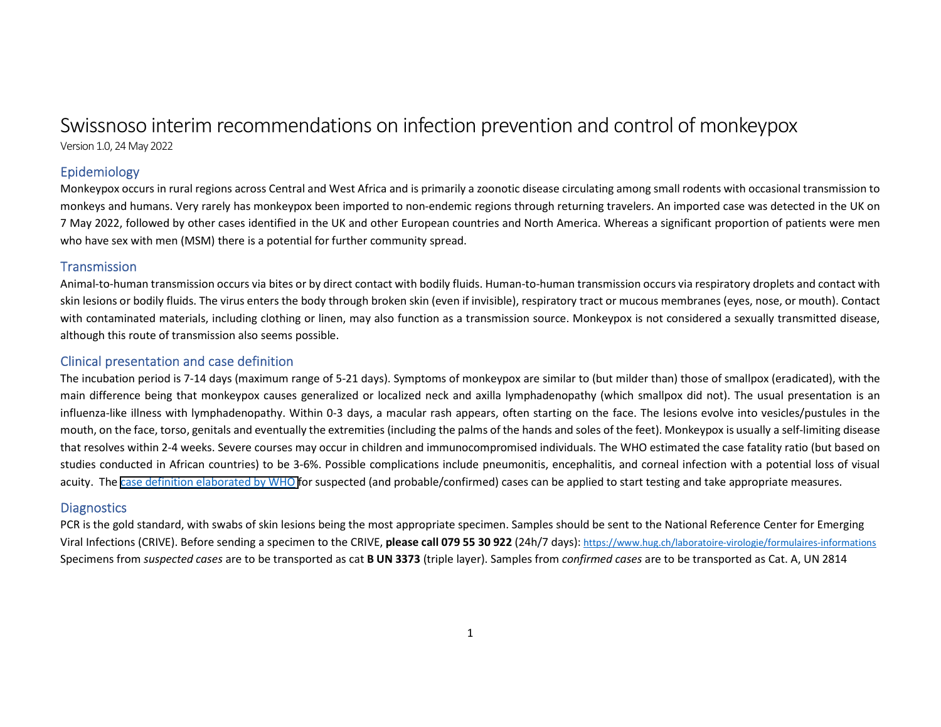# Swissnoso interim recommendations on infection prevention and control of monkeypox

Version 1.0, 24 May 2022

# Epidemiology

Monkeypox occurs in rural regions across Central and West Africa and is primarily a zoonotic disease circulating among small rodents with occasional transmission to monkeys and humans. Very rarely has monkeypox been imported to non-endemic regions through returning travelers. An imported case was detected in the UK on 7 May 2022, followed by other cases identified in the UK and other European countries and North America. Whereas a significant proportion of patients were men who have sex with men (MSM) there is a potential for further community spread.

#### **Transmission**

Animal-to-human transmission occurs via bites or by direct contact with bodily fluids. Human-to-human transmission occurs via respiratory droplets and contact with skin lesions or bodily fluids. The virus enters the body through broken skin (even if invisible), respiratory tract or mucous membranes (eyes, nose, or mouth). Contact with contaminated materials, including clothing or linen, may also function as a transmission source. Monkeypox is not considered a sexually transmitted disease, although this route of transmission also seems possible.

# Clinical presentation and case definition

The incubation period is 7-14 days (maximum range of 5-21 days). Symptoms of monkeypox are similar to (but milder than) those of smallpox (eradicated), with the main difference being that monkeypox causes generalized or localized neck and axilla lymphadenopathy (which smallpox did not). The usual presentation is an influenza-like illness with lymphadenopathy. Within 0-3 days, a macular rash appears, often starting on the face. The lesions evolve into vesicles/pustules in the mouth, on the face, torso, genitals and eventually the extremities (including the palms of the hands and soles of the feet). Monkeypox is usually a self-limiting disease that resolves within 2-4 weeks. Severe courses may occur in children and immunocompromised individuals. The WHO estimated the case fatality ratio (but based on studies conducted in African countries) to be 3-6%. Possible complications include pneumonitis, encephalitis, and corneal infection with a potential loss of visual acuity. The [case definition elaborated by WHO](https://www.who.int/emergencies/disease-outbreak-news/item/2022-DON385) for suspected (and probable/confirmed) cases can be applied to start testing and take appropriate measures.

## **Diagnostics**

PCR is the gold standard, with swabs of skin lesions being the most appropriate specimen. Samples should be sent to the National Reference Center for Emerging Viral Infections (CRIVE). Before sending a specimen to the CRIVE, **please call 079 55 30 922** (24h/7 days): https://www.hug.ch/laboratoire-virologie/formulaires-informationsSpecimens from *suspected cases* are to be transported as cat **B UN 3373** (triple layer). Samples from *confirmed cases* are to be transported as Cat. A, UN 2814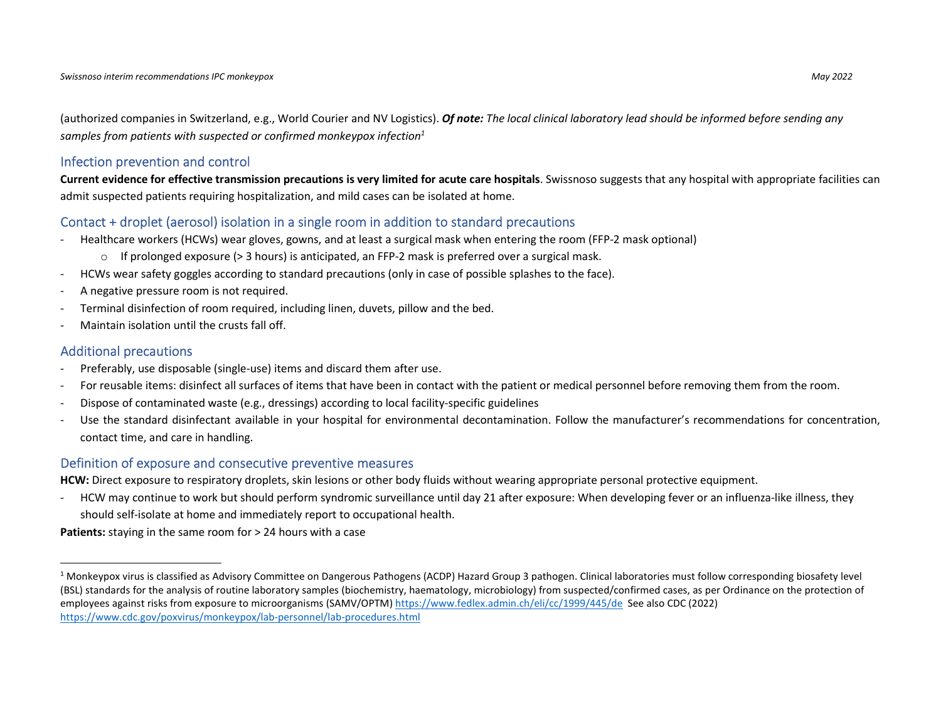(authorized companies in Switzerland, e.g., World Courier and NV Logistics). *Of note: The local clinical laboratory lead should be informed before sending any samples from patients with suspected or confirmed monkeypox infection1*

#### Infection prevention and control

**Current evidence for effective transmission precautions is very limited for acute care hospitals**. Swissnoso suggests that any hospital with appropriate facilities can admit suspected patients requiring hospitalization, and mild cases can be isolated at home.

#### Contact + droplet (aerosol) isolation in a single room in addition to standard precautions

- Healthcare workers (HCWs) wear gloves, gowns, and at least a surgical mask when entering the room (FFP-2 mask optional)
	- $\circ$  If prolonged exposure (> 3 hours) is anticipated, an FFP-2 mask is preferred over a surgical mask.
- HCWs wear safety goggles according to standard precautions (only in case of possible splashes to the face).
- A negative pressure room is not required.
- Terminal disinfection of room required, including linen, duvets, pillow and the bed.
- Maintain isolation until the crusts fall off.

#### Additional precautions

- Preferably, use disposable (single-use) items and discard them after use.
- For reusable items: disinfect all surfaces of items that have been in contact with the patient or medical personnel before removing them from the room.
- Dispose of contaminated waste (e.g., dressings) according to local facility-specific guidelines
- Use the standard disinfectant available in your hospital for environmental decontamination. Follow the manufacturer's recommendations for concentration, contact time, and care in handling.

#### Definition of exposure and consecutive preventive measures

**HCW:** Direct exposure to respiratory droplets, skin lesions or other body fluids without wearing appropriate personal protective equipment.

- HCW may continue to work but should perform syndromic surveillance until day 21 after exposure: When developing fever or an influenza-like illness, they should self-isolate at home and immediately report to occupational health.

**Patients:** staying in the same room for > 24 hours with a case

<sup>&</sup>lt;sup>1</sup> Monkeypox virus is classified as Advisory Committee on Dangerous Pathogens (ACDP) Hazard Group 3 pathogen. Clinical laboratories must follow corresponding biosafety level (BSL) standards for the analysis of routine laboratory samples (biochemistry, haematology, microbiology) from suspected/confirmed cases, as per Ordinance on the protection of employees against risks from exposure to microorganisms (SAMV/OPTM) https://www.fedlex.admin.ch/eli/cc/1999/445/de See also CDC (2022) https://www.cdc.gov/poxvirus/monkeypox/lab-personnel/lab-procedures.html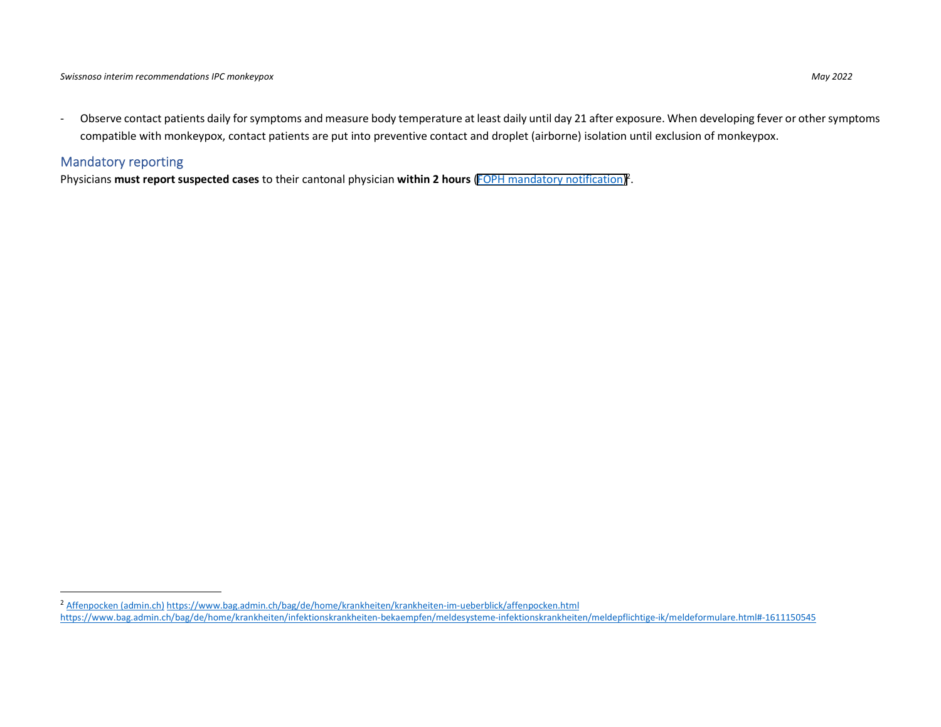- Observe contact patients daily for symptoms and measure body temperature at least daily until day 21 after exposure. When developing fever or other symptoms compatible with monkeypox, contact patients are put into preventive contact and droplet (airborne) isolation until exclusion of monkeypox.

#### Mandatory reporting

Physicians **must report suspected cases** to their cantonal physician **within 2 hours** ([FOPH mandatory notification\)](https://www.bag.admin.ch/bag/fr/home/krankheiten/infektionskrankheiten-bekaempfen/meldesysteme-infektionskrankheiten/meldepflichtige-ik/meldeformulare.html#-1790465635) 2 .

<sup>2</sup> Affenpocken (admin.ch) https://www.bag.admin.ch/bag/de/home/krankheiten/krankheiten-im-ueberblick/affenpocken.html https://www.bag.admin.ch/bag/de/home/krankheiten/infektionskrankheiten-bekaempfen/meldesysteme-infektionskrankheiten/meldepflichtige-ik/meldeformulare.html#-1611150545